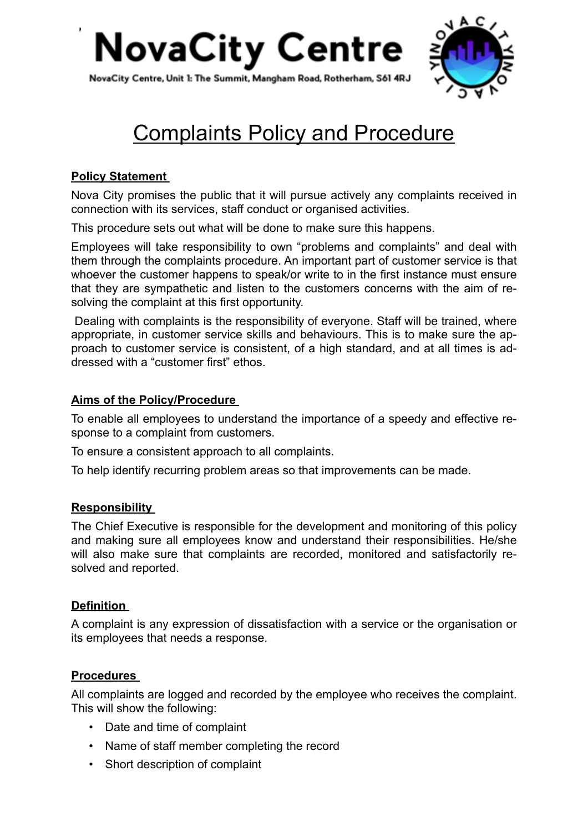



# Complaints Policy and Procedure

# **Policy Statement**

Nova City promises the public that it will pursue actively any complaints received in connection with its services, staff conduct or organised activities.

This procedure sets out what will be done to make sure this happens.

Employees will take responsibility to own "problems and complaints" and deal with them through the complaints procedure. An important part of customer service is that whoever the customer happens to speak/or write to in the first instance must ensure that they are sympathetic and listen to the customers concerns with the aim of resolving the complaint at this first opportunity.

 Dealing with complaints is the responsibility of everyone. Staff will be trained, where appropriate, in customer service skills and behaviours. This is to make sure the approach to customer service is consistent, of a high standard, and at all times is addressed with a "customer first" ethos.

# **Aims of the Policy/Procedure**

To enable all employees to understand the importance of a speedy and effective response to a complaint from customers.

To ensure a consistent approach to all complaints.

To help identify recurring problem areas so that improvements can be made.

# **Responsibility**

The Chief Executive is responsible for the development and monitoring of this policy and making sure all employees know and understand their responsibilities. He/she will also make sure that complaints are recorded, monitored and satisfactorily resolved and reported.

# **Definition**

A complaint is any expression of dissatisfaction with a service or the organisation or its employees that needs a response.

# **Procedures**

All complaints are logged and recorded by the employee who receives the complaint. This will show the following:

- Date and time of complaint
- Name of staff member completing the record
- Short description of complaint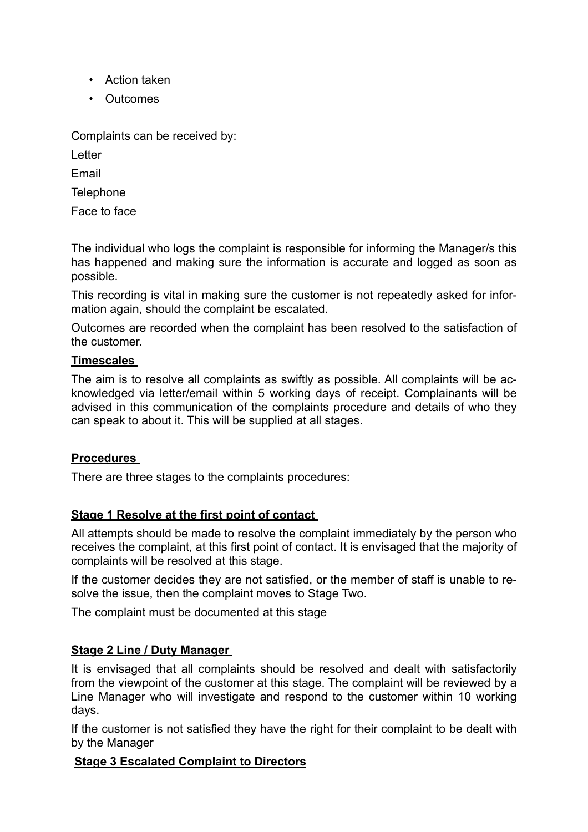- Action taken
- Outcomes

Complaints can be received by:

Letter

Email

**Telephone** 

Face to face

The individual who logs the complaint is responsible for informing the Manager/s this has happened and making sure the information is accurate and logged as soon as possible.

This recording is vital in making sure the customer is not repeatedly asked for information again, should the complaint be escalated.

Outcomes are recorded when the complaint has been resolved to the satisfaction of the customer.

#### **Timescales**

The aim is to resolve all complaints as swiftly as possible. All complaints will be acknowledged via letter/email within 5 working days of receipt. Complainants will be advised in this communication of the complaints procedure and details of who they can speak to about it. This will be supplied at all stages.

#### **Procedures**

There are three stages to the complaints procedures:

#### **Stage 1 Resolve at the first point of contact**

All attempts should be made to resolve the complaint immediately by the person who receives the complaint, at this first point of contact. It is envisaged that the majority of complaints will be resolved at this stage.

If the customer decides they are not satisfied, or the member of staff is unable to resolve the issue, then the complaint moves to Stage Two.

The complaint must be documented at this stage

#### **Stage 2 Line / Duty Manager**

It is envisaged that all complaints should be resolved and dealt with satisfactorily from the viewpoint of the customer at this stage. The complaint will be reviewed by a Line Manager who will investigate and respond to the customer within 10 working days.

If the customer is not satisfied they have the right for their complaint to be dealt with by the Manager

#### **Stage 3 Escalated Complaint to Directors**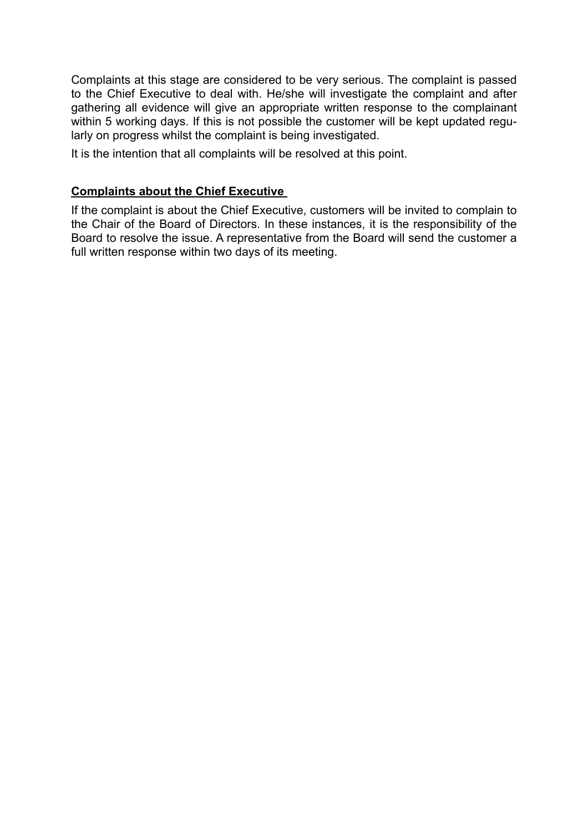Complaints at this stage are considered to be very serious. The complaint is passed to the Chief Executive to deal with. He/she will investigate the complaint and after gathering all evidence will give an appropriate written response to the complainant within 5 working days. If this is not possible the customer will be kept updated regularly on progress whilst the complaint is being investigated.

It is the intention that all complaints will be resolved at this point.

#### **Complaints about the Chief Executive**

If the complaint is about the Chief Executive, customers will be invited to complain to the Chair of the Board of Directors. In these instances, it is the responsibility of the Board to resolve the issue. A representative from the Board will send the customer a full written response within two days of its meeting.